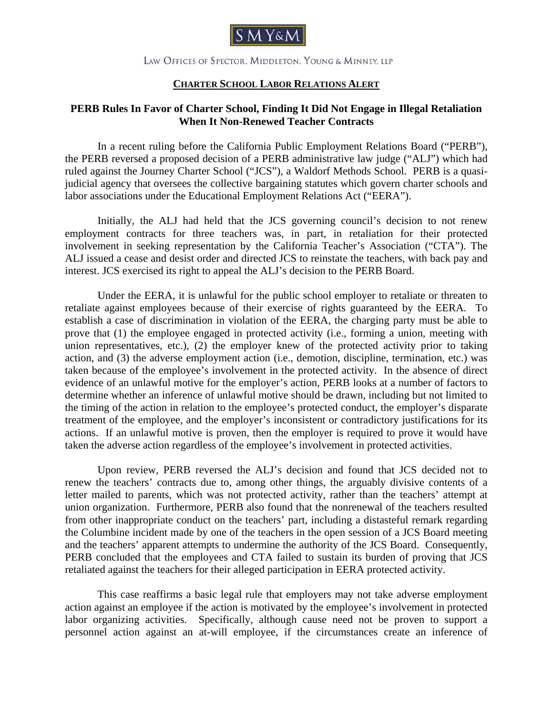

## LAW OFFICES OF SPECTOR, MIDDLETON, YOUNG & MINNEY, LLP

## **CHARTER SCHOOL LABOR RELATIONS ALERT**

## **PERB Rules In Favor of Charter School, Finding It Did Not Engage in Illegal Retaliation When It Non-Renewed Teacher Contracts**

 In a recent ruling before the California Public Employment Relations Board ("PERB"), the PERB reversed a proposed decision of a PERB administrative law judge ("ALJ") which had ruled against the Journey Charter School ("JCS"), a Waldorf Methods School. PERB is a quasijudicial agency that oversees the collective bargaining statutes which govern charter schools and labor associations under the Educational Employment Relations Act ("EERA").

 Initially, the ALJ had held that the JCS governing council's decision to not renew employment contracts for three teachers was, in part, in retaliation for their protected involvement in seeking representation by the California Teacher's Association ("CTA"). The ALJ issued a cease and desist order and directed JCS to reinstate the teachers, with back pay and interest. JCS exercised its right to appeal the ALJ's decision to the PERB Board.

 Under the EERA, it is unlawful for the public school employer to retaliate or threaten to retaliate against employees because of their exercise of rights guaranteed by the EERA. To establish a case of discrimination in violation of the EERA, the charging party must be able to prove that (1) the employee engaged in protected activity (i.e., forming a union, meeting with union representatives, etc.), (2) the employer knew of the protected activity prior to taking action, and (3) the adverse employment action (i.e., demotion, discipline, termination, etc.) was taken because of the employee's involvement in the protected activity. In the absence of direct evidence of an unlawful motive for the employer's action, PERB looks at a number of factors to determine whether an inference of unlawful motive should be drawn, including but not limited to the timing of the action in relation to the employee's protected conduct, the employer's disparate treatment of the employee, and the employer's inconsistent or contradictory justifications for its actions. If an unlawful motive is proven, then the employer is required to prove it would have taken the adverse action regardless of the employee's involvement in protected activities.

 Upon review, PERB reversed the ALJ's decision and found that JCS decided not to renew the teachers' contracts due to, among other things, the arguably divisive contents of a letter mailed to parents, which was not protected activity, rather than the teachers' attempt at union organization. Furthermore, PERB also found that the nonrenewal of the teachers resulted from other inappropriate conduct on the teachers' part, including a distasteful remark regarding the Columbine incident made by one of the teachers in the open session of a JCS Board meeting and the teachers' apparent attempts to undermine the authority of the JCS Board. Consequently, PERB concluded that the employees and CTA failed to sustain its burden of proving that JCS retaliated against the teachers for their alleged participation in EERA protected activity.

 This case reaffirms a basic legal rule that employers may not take adverse employment action against an employee if the action is motivated by the employee's involvement in protected labor organizing activities. Specifically, although cause need not be proven to support a personnel action against an at-will employee, if the circumstances create an inference of